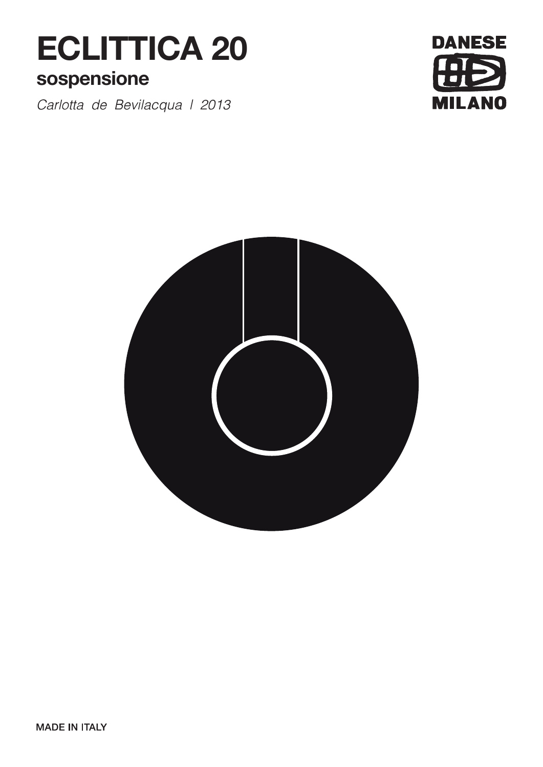# **ECLITTICA 20**

# **sospensione**

*Carlotta de Bevilacqua | 2013*



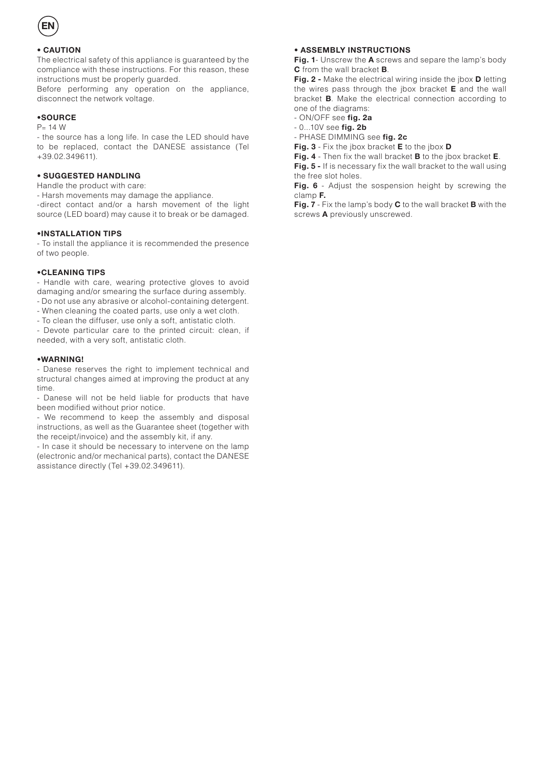

#### **• CAUTION**

The electrical safety of this appliance is guaranteed by the compliance with these instructions. For this reason, these instructions must be properly guarded.

Before performing any operation on the appliance, disconnect the network voltage.

#### **•SOURCE**

#### $P = 14 W$

- the source has a long life. In case the LED should have to be replaced, contact the DANESE assistance (Tel +39.02.349611).

#### **• SUGGESTED HANDLING**

Handle the product with care:

- Harsh movements may damage the appliance.

-direct contact and/or a harsh movement of the light source (LED board) may cause it to break or be damaged.

#### **•INSTALLATION TIPS**

- To install the appliance it is recommended the presence of two people.

#### **•CLEANING TIPS**

- Handle with care, wearing protective gloves to avoid damaging and/or smearing the surface during assembly.

- Do not use any abrasive or alcohol-containing detergent.
- When cleaning the coated parts, use only a wet cloth.
- To clean the diffuser, use only a soft, antistatic cloth.

- Devote particular care to the printed circuit: clean, if needed, with a very soft, antistatic cloth.

#### **•WARNING!**

- Danese reserves the right to implement technical and structural changes aimed at improving the product at any time.

- Danese will not be held liable for products that have been modified without prior notice.

- We recommend to keep the assembly and disposal instructions, as well as the Guarantee sheet (together with the receipt/invoice) and the assembly kit, if any.

- In case it should be necessary to intervene on the lamp (electronic and/or mechanical parts), contact the DANESE assistance directly (Tel +39.02.349611).

#### **• ASSEMBLY INSTRUCTIONS**

**Fig. 1**- Unscrew the **A** screws and separe the lamp's body **C** from the wall bracket **B**.

**Fig. 2 -** Make the electrical wiring inside the jbox **D** letting the wires pass through the jbox bracket **E** and the wall bracket **B**. Make the electrical connection according to one of the diagrams:

- ON/OFF see **fig. 2a**
- 0...10V see **fig. 2b**
- PHASE DIMMING see **fig. 2c**
- **Fig. 3** Fix the jbox bracket **E** to the jbox **D**

**Fig. 4** - Then fix the wall bracket **B** to the jbox bracket **E**. **Fig. 5 -** If is necessary fix the wall bracket to the wall using

the free slot holes.

**Fig. 6** - Adjust the sospension height by screwing the clamp **F.**

**Fig. 7** - Fix the lamp's body **C** to the wall bracket **B** with the screws **A** previously unscrewed.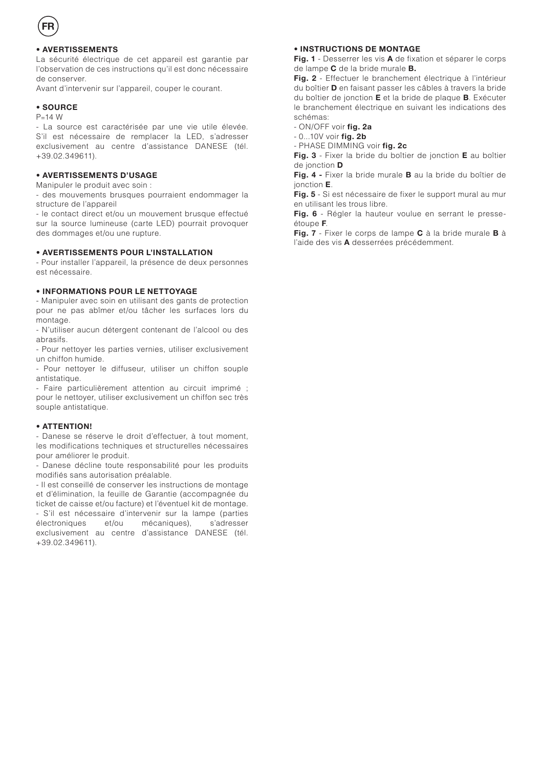# **• AVERTISSEMENTS**

La sécurité électrique de cet appareil est garantie par l'observation de ces instructions qu'il est donc nécessaire de conserver.

Avant d'intervenir sur l'appareil, couper le courant.

#### **• SOURCE**

#### $P-14$  M

- La source est caractérisée par une vie utile élevée. S'il est nécessaire de remplacer la LED, s'adresser exclusivement au centre d'assistance DANESE (tél. +39.02.349611).

#### **• AVERTISSEMENTS D'USAGE**

Manipuler le produit avec soin :

- des mouvements brusques pourraient endommager la structure de l'appareil

- le contact direct et/ou un mouvement brusque effectué sur la source lumineuse (carte LED) pourrait provoquer des dommages et/ou une rupture.

#### **• AVERTISSEMENTS POUR L'INSTALLATION**

- Pour installer l'appareil, la présence de deux personnes est nécessaire.

#### **• INFORMATIONS POUR LE NETTOYAGE**

- Manipuler avec soin en utilisant des gants de protection pour ne pas abîmer et/ou tâcher les surfaces lors du montage.

- N'utiliser aucun détergent contenant de l'alcool ou des abrasifs.

- Pour nettoyer les parties vernies, utiliser exclusivement un chiffon humide.

- Pour nettoyer le diffuseur, utiliser un chiffon souple antistatique.

- Faire particulièrement attention au circuit imprimé ; pour le nettoyer, utiliser exclusivement un chiffon sec très souple antistatique.

#### **• ATTENTION!**

- Danese se réserve le droit d'effectuer, à tout moment, les modifications techniques et structurelles nécessaires pour améliorer le produit.

- Danese décline toute responsabilité pour les produits modifiés sans autorisation préalable.

- Il est conseillé de conserver les instructions de montage et d'élimination, la feuille de Garantie (accompagnée du ticket de caisse et/ou facture) et l'éventuel kit de montage. - S'il est nécessaire d'intervenir sur la lampe (parties électroniques et/ou mécaniques), s'adresser exclusivement au centre d'assistance DANESE (tél. +39.02.349611).

#### **• INSTRUCTIONS DE MONTAGE**

**Fig. 1** - Desserrer les vis **A** de fixation et séparer le corps de lampe **C** de la bride murale **B.**

**Fig. 2** - Effectuer le branchement électrique à l'intérieur du boîtier **D** en faisant passer les câbles à travers la bride du boîtier de jonction **E** et la bride de plaque **B**. Exécuter le branchement électrique en suivant les indications des schémas:

- ON/OFF voir **fig. 2a**

- 0...10V voir **fig. 2b**

- PHASE DIMMING voir **fig. 2c**

**Fig. 3** - Fixer la bride du boîtier de jonction **E** au boîtier de jonction **D**

**Fig. 4 -** Fixer la bride murale **B** au la bride du boîtier de jonction **E**.

**Fig. 5** - Si est nécessaire de fixer le support mural au mur en utilisant les trous libre.

**Fig. 6** - Régler la hauteur voulue en serrant le presseétoupe **F**.

**Fig. 7** - Fixer le corps de lampe **C** à la bride murale **B** à l'aide des vis **A** desserrées précédemment.

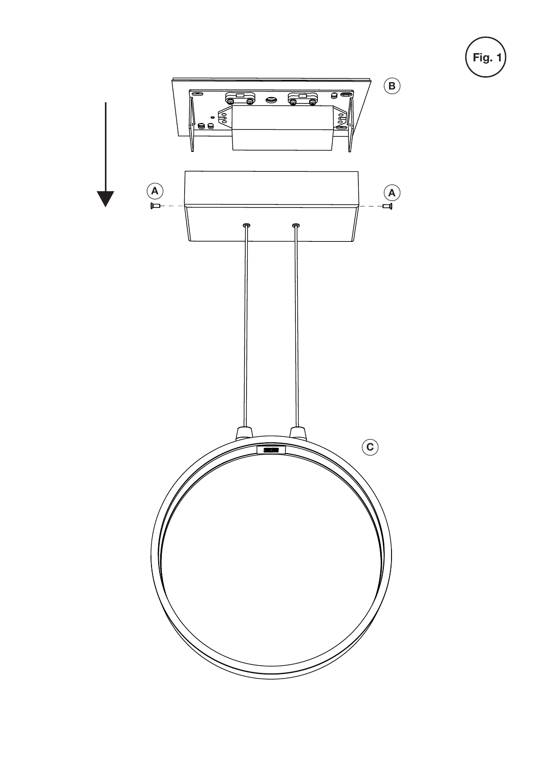

**Fig. 1**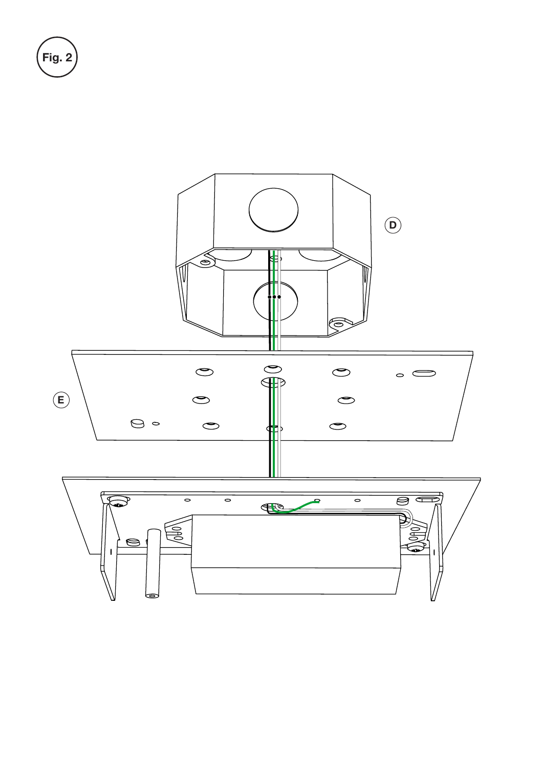

Fig. 2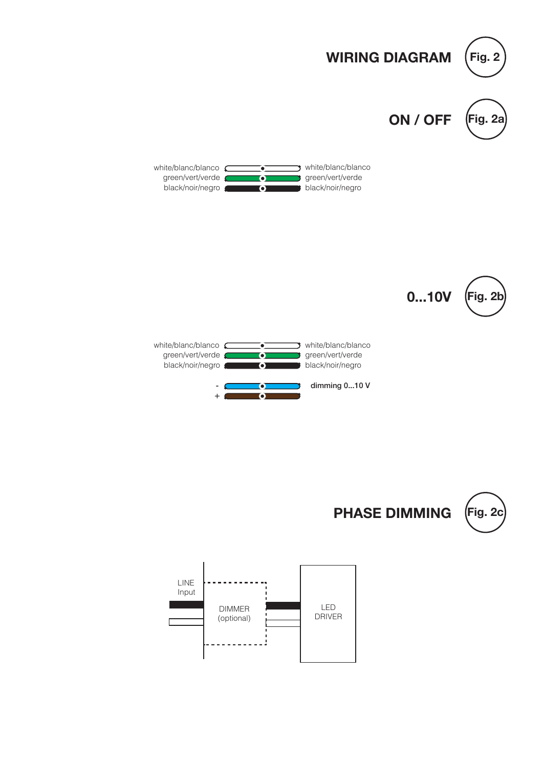



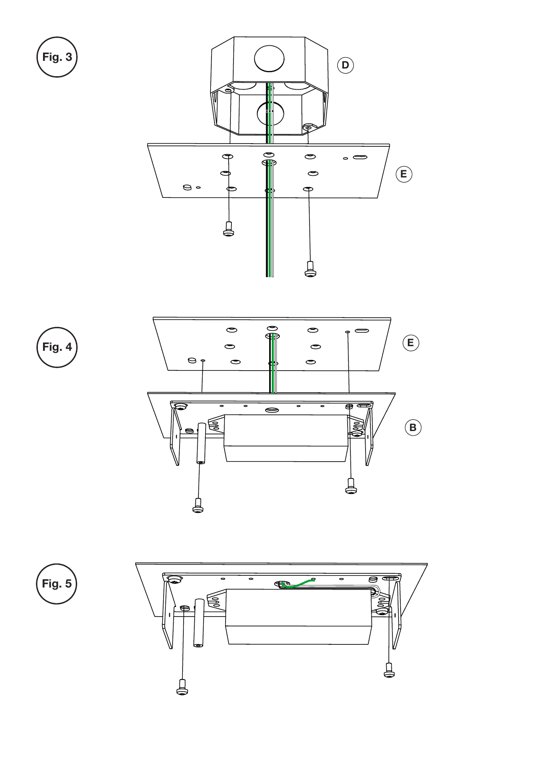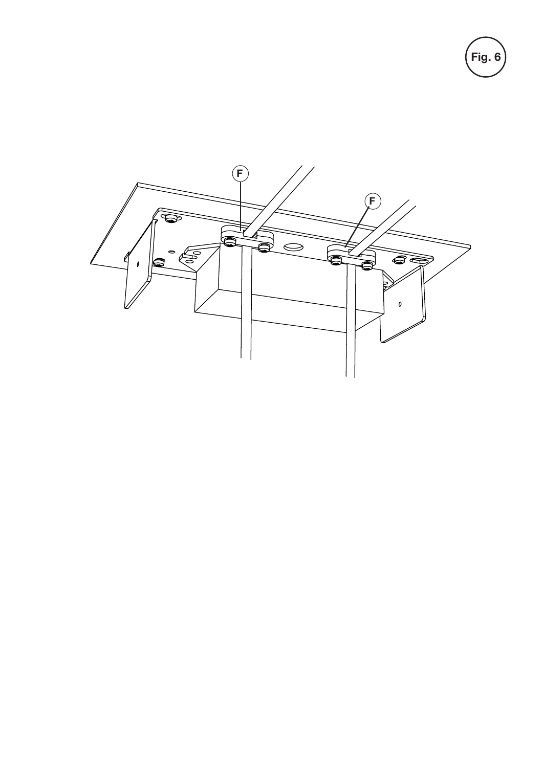Fig. 6

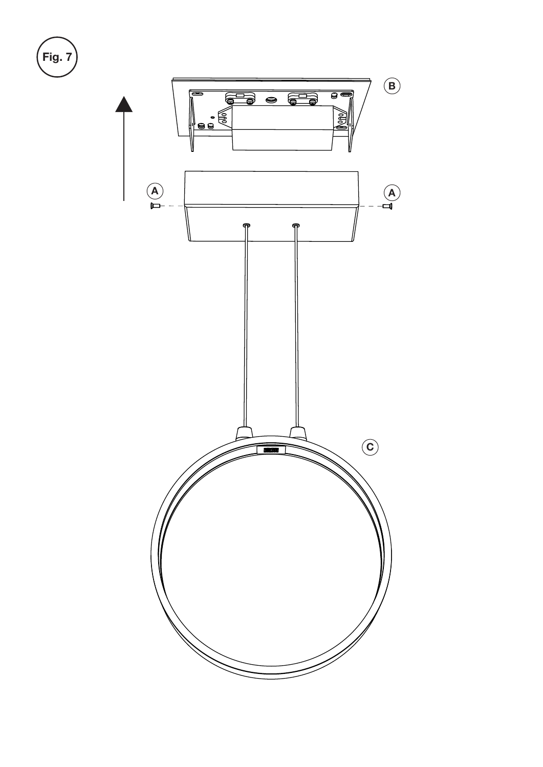